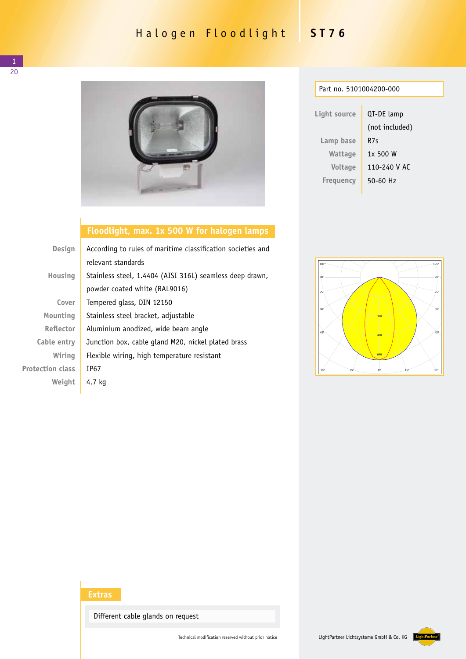## Halogen Floodlight **ST76**



| Part no. 5101004200-000 |                |  |  |
|-------------------------|----------------|--|--|
|                         |                |  |  |
| Light source            | QT-DE lamp     |  |  |
|                         | (not included) |  |  |
| Lamp base               | R7s            |  |  |
| Wattage                 | 1x500W         |  |  |
| Voltage                 | 110-240 V AC   |  |  |
| Frequency               | 50-60 Hz       |  |  |
|                         |                |  |  |

## **Floodlight, max. 1x 500 W for halogen lamps**

| <b>Design</b>           | According to rules of maritime classification societies and |  |
|-------------------------|-------------------------------------------------------------|--|
|                         | relevant standards                                          |  |
| Housing                 | Stainless steel, 1.4404 (AISI 316L) seamless deep drawn,    |  |
|                         | powder coated white (RAL9016)                               |  |
| Cover                   | Tempered glass, DIN 12150                                   |  |
| Mounting                | Stainless steel bracket, adjustable                         |  |
| Reflector               | Aluminium anodized, wide beam angle                         |  |
| Cable entry             | Junction box, cable gland M20, nickel plated brass          |  |
| Wiring                  | Flexible wiring, high temperature resistant                 |  |
| <b>Protection class</b> | TP67                                                        |  |
| Weight                  | 4.7 kg                                                      |  |



## **Extras**

Different cable glands on request